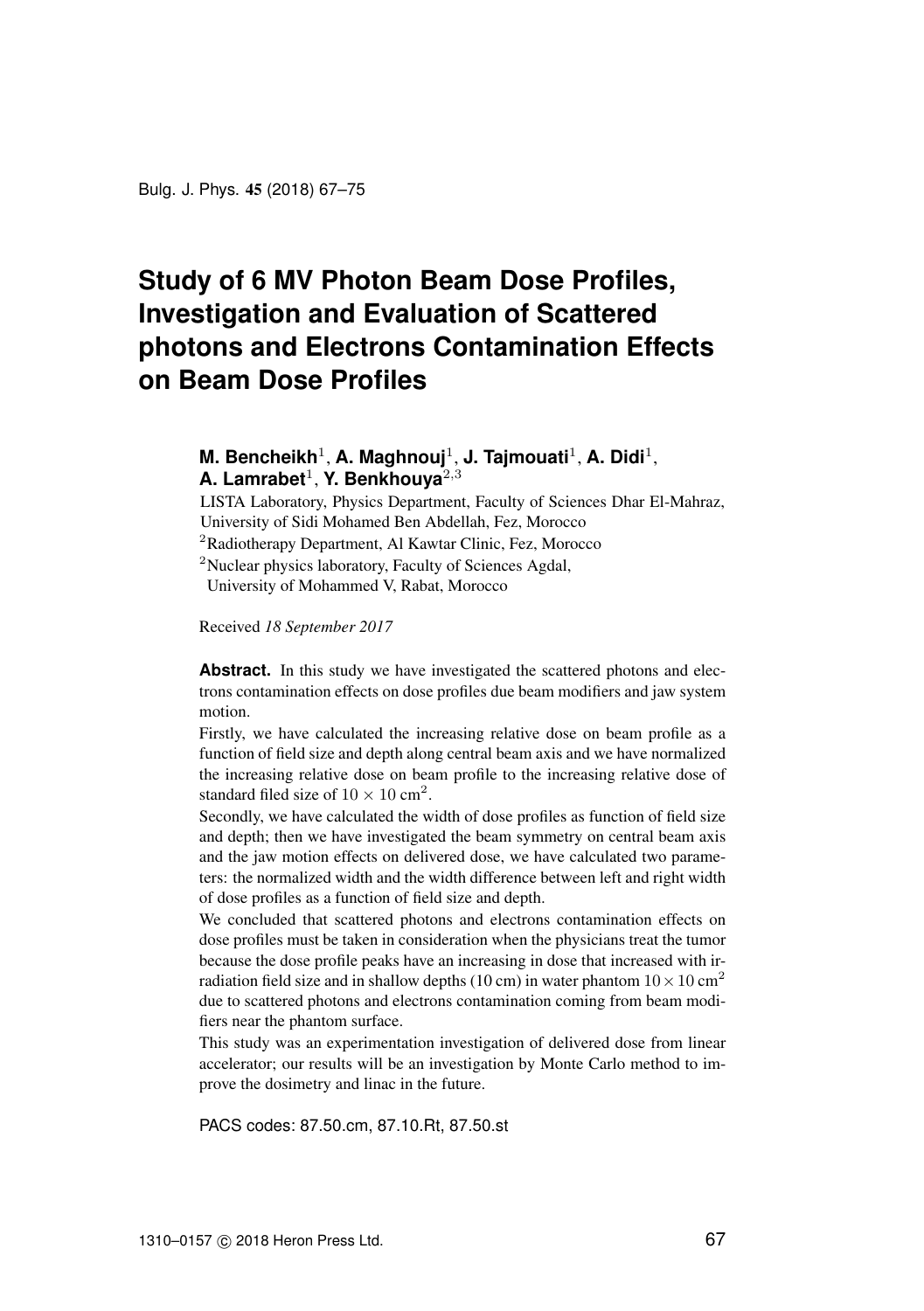Bulg. J. Phys. 45 (2018) [67](#page-0-0)[–75](#page-7-0)

# <span id="page-0-0"></span>**Study of 6 MV Photon Beam Dose Profiles, Investigation and Evaluation of Scattered photons and Electrons Contamination Effects on Beam Dose Profiles**

# **M. Bencheikh<sup>1</sup>, A. Maghnouj<sup>1</sup>, J. Tajmouati<sup>1</sup>, A. Didi<sup>1</sup>,** A. Lamrabet<sup>1</sup>, Y. Benkhouya<sup>2,3</sup>

LISTA Laboratory, Physics Department, Faculty of Sciences Dhar El-Mahraz, University of Sidi Mohamed Ben Abdellah, Fez, Morocco

<sup>2</sup>Radiotherapy Department, Al Kawtar Clinic, Fez, Morocco

<sup>2</sup>Nuclear physics laboratory, Faculty of Sciences Agdal,

University of Mohammed V, Rabat, Morocco

Received *18 September 2017*

**Abstract.** In this study we have investigated the scattered photons and electrons contamination effects on dose profiles due beam modifiers and jaw system motion.

Firstly, we have calculated the increasing relative dose on beam profile as a function of field size and depth along central beam axis and we have normalized the increasing relative dose on beam profile to the increasing relative dose of standard filed size of  $10 \times 10$  cm<sup>2</sup>.

Secondly, we have calculated the width of dose profiles as function of field size and depth; then we have investigated the beam symmetry on central beam axis and the jaw motion effects on delivered dose, we have calculated two parameters: the normalized width and the width difference between left and right width of dose profiles as a function of field size and depth.

We concluded that scattered photons and electrons contamination effects on dose profiles must be taken in consideration when the physicians treat the tumor because the dose profile peaks have an increasing in dose that increased with irradiation field size and in shallow depths (10 cm) in water phantom  $10 \times 10$  cm<sup>2</sup> due to scattered photons and electrons contamination coming from beam modifiers near the phantom surface.

This study was an experimentation investigation of delivered dose from linear accelerator; our results will be an investigation by Monte Carlo method to improve the dosimetry and linac in the future.

PACS codes: 87.50.cm, 87.10.Rt, 87.50.st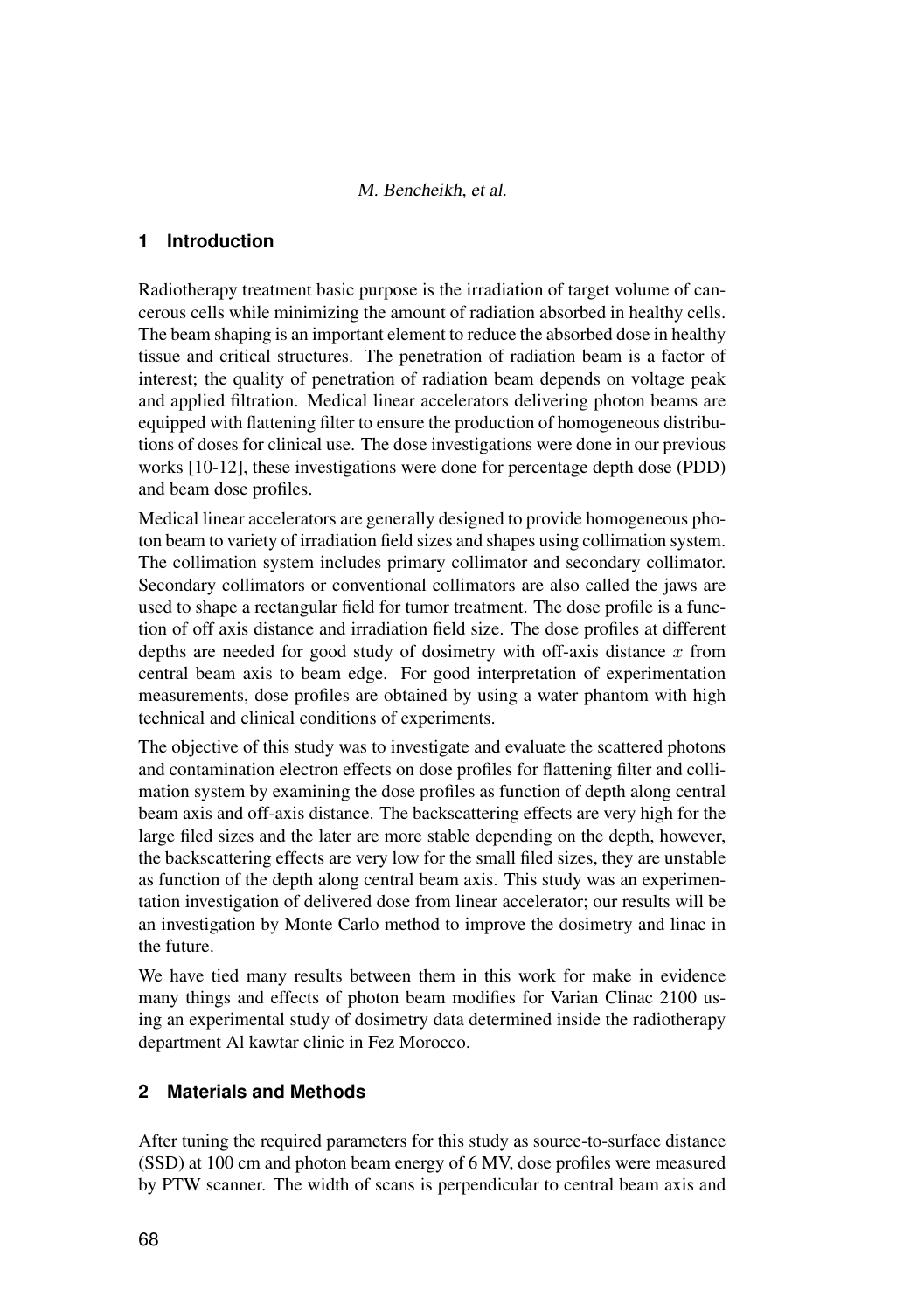#### M. Bencheikh, et al.

# **1 Introduction**

Radiotherapy treatment basic purpose is the irradiation of target volume of cancerous cells while minimizing the amount of radiation absorbed in healthy cells. The beam shaping is an important element to reduce the absorbed dose in healthy tissue and critical structures. The penetration of radiation beam is a factor of interest; the quality of penetration of radiation beam depends on voltage peak and applied filtration. Medical linear accelerators delivering photon beams are equipped with flattening filter to ensure the production of homogeneous distributions of doses for clinical use. The dose investigations were done in our previous works [10-12], these investigations were done for percentage depth dose (PDD) and beam dose profiles.

Medical linear accelerators are generally designed to provide homogeneous photon beam to variety of irradiation field sizes and shapes using collimation system. The collimation system includes primary collimator and secondary collimator. Secondary collimators or conventional collimators are also called the jaws are used to shape a rectangular field for tumor treatment. The dose profile is a function of off axis distance and irradiation field size. The dose profiles at different depths are needed for good study of dosimetry with off-axis distance  $x$  from central beam axis to beam edge. For good interpretation of experimentation measurements, dose profiles are obtained by using a water phantom with high technical and clinical conditions of experiments.

The objective of this study was to investigate and evaluate the scattered photons and contamination electron effects on dose profiles for flattening filter and collimation system by examining the dose profiles as function of depth along central beam axis and off-axis distance. The backscattering effects are very high for the large filed sizes and the later are more stable depending on the depth, however, the backscattering effects are very low for the small filed sizes, they are unstable as function of the depth along central beam axis. This study was an experimentation investigation of delivered dose from linear accelerator; our results will be an investigation by Monte Carlo method to improve the dosimetry and linac in the future.

We have tied many results between them in this work for make in evidence many things and effects of photon beam modifies for Varian Clinac 2100 using an experimental study of dosimetry data determined inside the radiotherapy department Al kawtar clinic in Fez Morocco.

# **2 Materials and Methods**

After tuning the required parameters for this study as source-to-surface distance (SSD) at 100 cm and photon beam energy of 6 MV, dose profiles were measured by PTW scanner. The width of scans is perpendicular to central beam axis and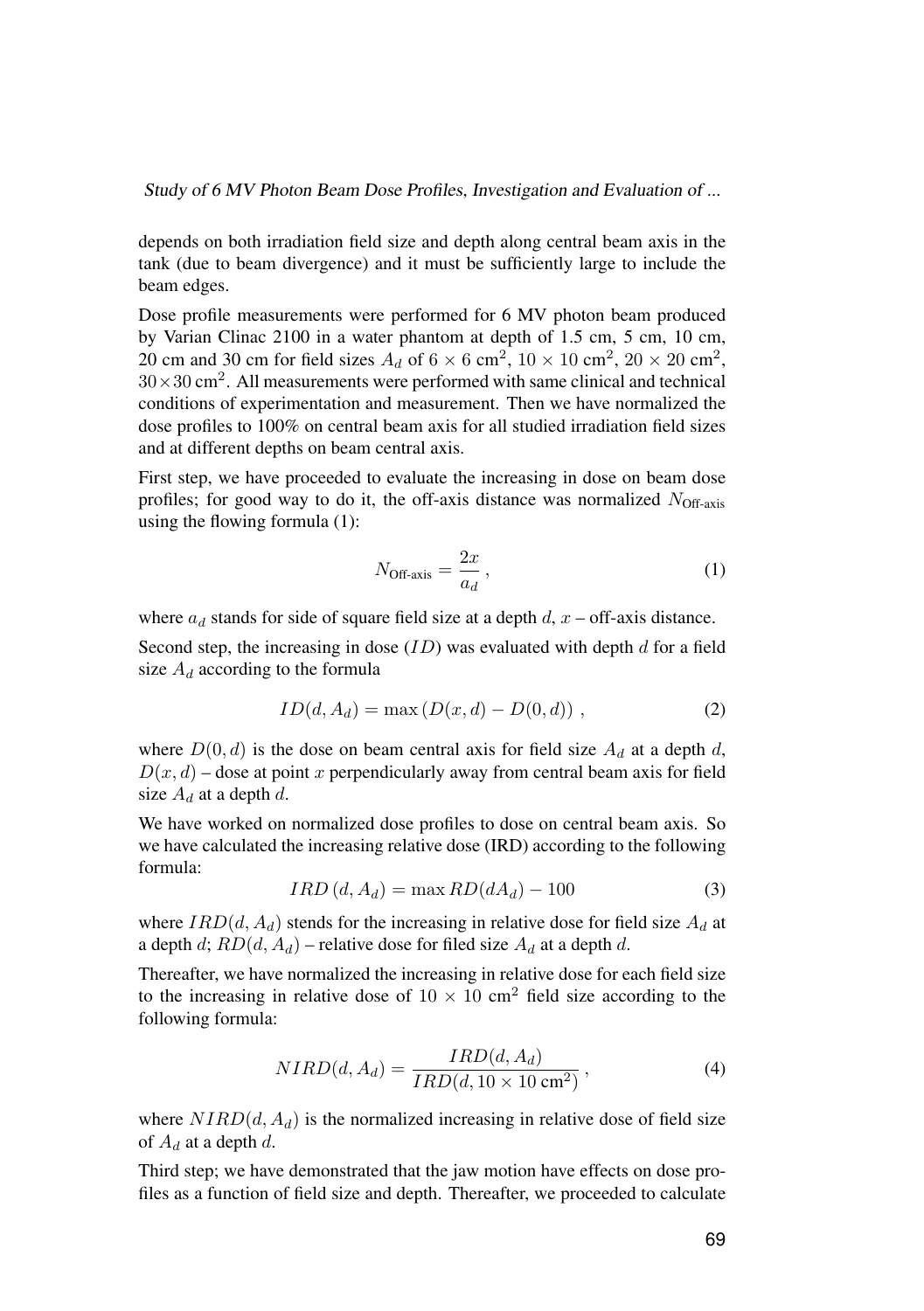Study of 6 MV Photon Beam Dose Profiles, Investigation and Evaluation of ...

depends on both irradiation field size and depth along central beam axis in the tank (due to beam divergence) and it must be sufficiently large to include the beam edges.

Dose profile measurements were performed for 6 MV photon beam produced by Varian Clinac 2100 in a water phantom at depth of 1.5 cm, 5 cm, 10 cm, 20 cm and 30 cm for field sizes  $A_d$  of  $6 \times 6$  cm<sup>2</sup>,  $10 \times 10$  cm<sup>2</sup>,  $20 \times 20$  cm<sup>2</sup>,  $30 \times 30$  cm<sup>2</sup>. All measurements were performed with same clinical and technical conditions of experimentation and measurement. Then we have normalized the dose profiles to 100% on central beam axis for all studied irradiation field sizes and at different depths on beam central axis.

First step, we have proceeded to evaluate the increasing in dose on beam dose profiles; for good way to do it, the off-axis distance was normalized  $N_{\text{Off-axis}}$ using the flowing formula (1):

$$
N_{\text{Off-axis}} = \frac{2x}{a_d},\tag{1}
$$

where  $a_d$  stands for side of square field size at a depth  $d$ ,  $x$  – off-axis distance.

Second step, the increasing in dose  $(ID)$  was evaluated with depth d for a field size  $A_d$  according to the formula

$$
ID(d, A_d) = \max (D(x, d) - D(0, d)), \qquad (2)
$$

where  $D(0, d)$  is the dose on beam central axis for field size  $A_d$  at a depth d,  $D(x, d)$  – dose at point x perpendicularly away from central beam axis for field size  $A_d$  at a depth d.

We have worked on normalized dose profiles to dose on central beam axis. So we have calculated the increasing relative dose (IRD) according to the following formula:

$$
IRD(d, A_d) = \max RD(dA_d) - 100\tag{3}
$$

where  $IRD(d, A_d)$  stends for the increasing in relative dose for field size  $A_d$  at a depth d;  $RD(d, A_d)$  – relative dose for filed size  $A_d$  at a depth d.

Thereafter, we have normalized the increasing in relative dose for each field size to the increasing in relative dose of  $10 \times 10$  cm<sup>2</sup> field size according to the following formula:

$$
NIRD(d, A_d) = \frac{IRD(d, A_d)}{IRD(d, 10 \times 10 \text{ cm}^2)},
$$
\n(4)

where  $NIRD(d, A_d)$  is the normalized increasing in relative dose of field size of  $A_d$  at a depth d.

Third step; we have demonstrated that the jaw motion have effects on dose profiles as a function of field size and depth. Thereafter, we proceeded to calculate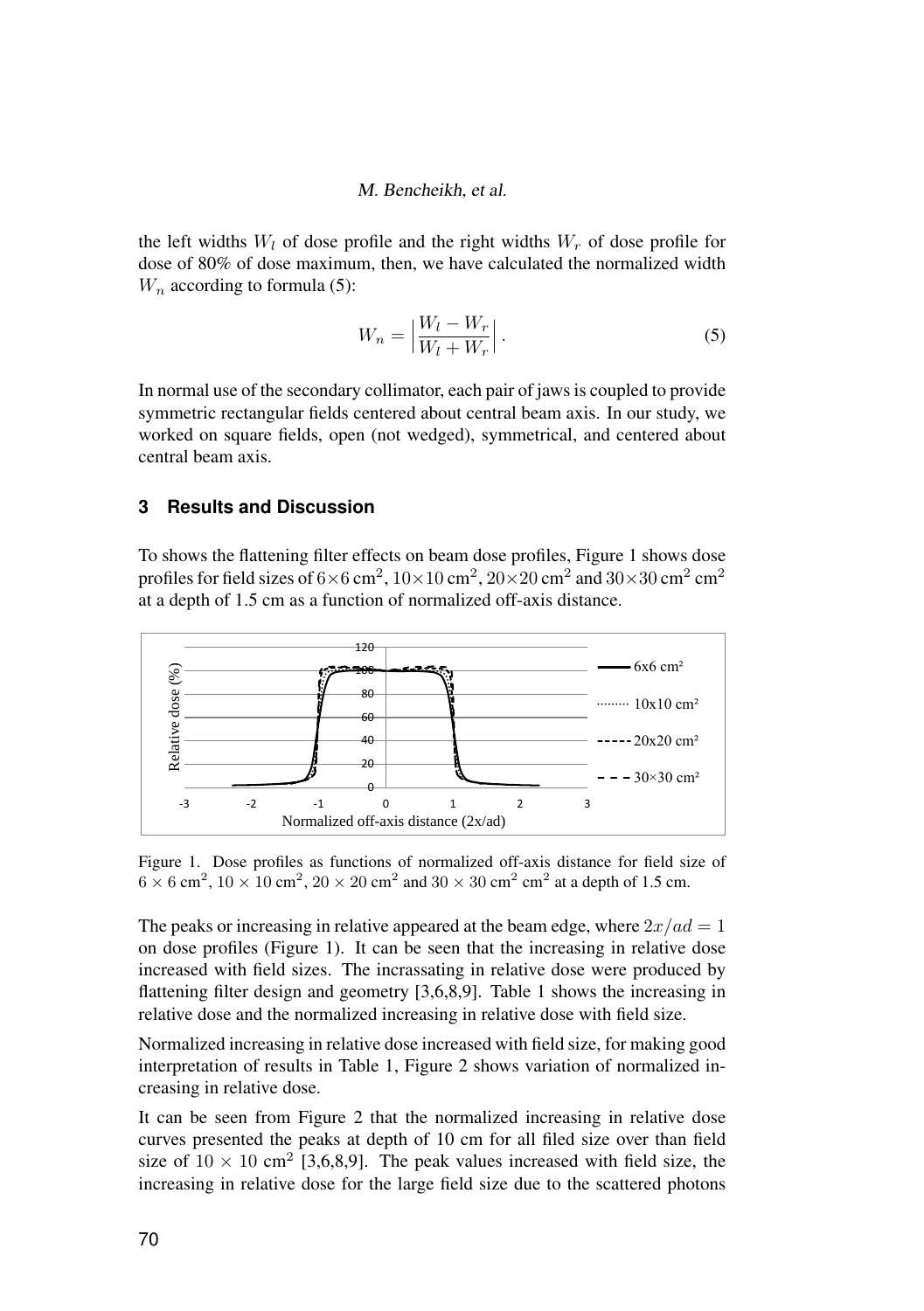#### M. Bencheikh, et al.

the left widths  $W_l$  of dose profile and the right widths  $W_r$  of dose profile for dose of 80% of dose maximum, then, we have calculated the normalized width  $W_n$  according to formula (5):

$$
W_n = \left| \frac{W_l - W_r}{W_l + W_r} \right|.
$$
\n<sup>(5)</sup>

In normal use of the secondary collimator, each pair of jaws is coupled to provide symmetric rectangular fields centered about central beam axis. In our study, we worked on square fields, open (not wedged), symmetrical, and centered about central beam axis.

# **3 Results and Discussion**

To shows the flattening filter effects on beam dose profiles, Figure 1 shows dose profiles for field sizes of  $6\times 6$  cm $^2$ ,  $10\times 10$  cm $^2$ ,  $20\times 20$  cm $^2$  and  $30\times 30$  cm $^2$  cm $^2$ n<br>at a depth of 1.5 cm as a function of normalized off-axis distance. at a depth of  $1.5$  cm as a function of  $n$ 



*Figure 1: Dose profiles as functions of normalized off-axis distance for field size of*  Figure 1. Dose profiles as functions of normalized off-axis distance for field size of  $6 \times 6$  cm<sup>2</sup>,  $10 \times 10$  cm<sup>2</sup>,  $20 \times 20$  cm<sup>2</sup> and  $30 \times 30$  cm<sup>2</sup> cm<sup>2</sup> at a depth of 1.5 cm.

The peaks or increasing in relative appeared at the beam edge, where  $2x/ad = 1$ on dose profiles (Figure 1). It can be seen that the increasing in relative dose  $\frac{1}{3}$  increased with field circa. The increasing in relative dose were resolved by increased with field sizes. The incrassating in relative dose were produced by flattening filter design and geometry [3,6,8,9]. Table 1 shows the increasing in relative dose and the normalized increasing in relative dose with field size.

interpretation of results in Table 1, Figure 2 shows variation of normalized increasing in relative dose. Increasing in Increasing in ative dose increased with  $\sim$ Normalized increasing in relative dose increased with field size, for making good

It can be seen from Figure 2 that the normalized increasing in relative dose **10×10** 1,2 0,8 1 1 curves presented the peaks at depth of 10 cm for all filed size over than field **20×20** 2,9 2,6 2,75 2,75 size of 10 × 10 cm<sup>2</sup> [3,6,8,9]. The peak values increased with field size, the increasing in relative dose for the large field size due to the scattered photons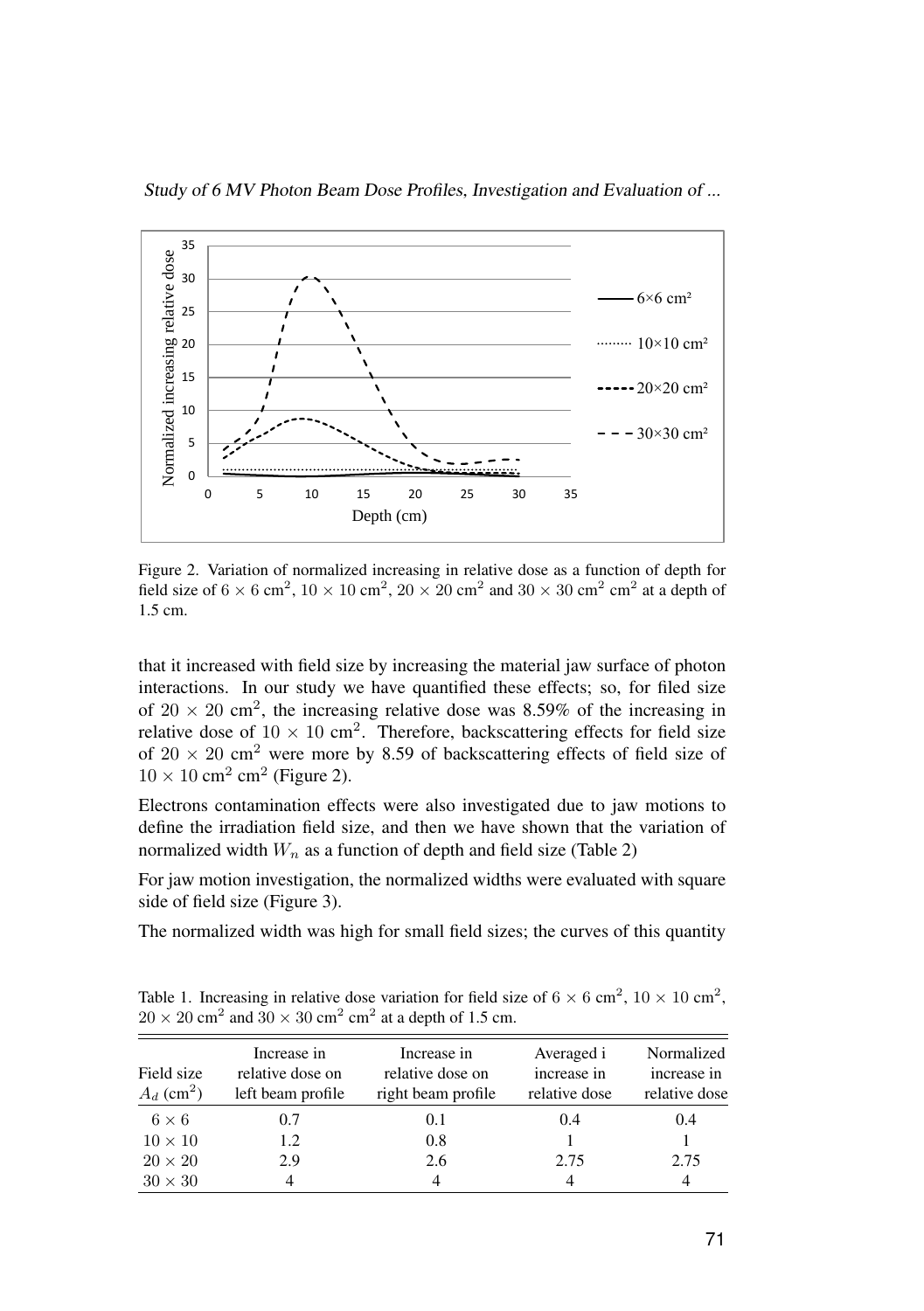



*Figure 2: Variation of normalized increasing in relative dose as a function of depth*  Figure 2. Variation of normalized increasing in relative dose as a function of depth for field size of  $6 \times 6$  cm<sup>2</sup>,  $10 \times 10$  cm<sup>2</sup>,  $20 \times 20$  cm<sup>2</sup> and  $30 \times 30$  cm<sup>2</sup> cm<sup>2</sup> at a depth of It can be seen from figure 2 that the normalized increasing increasing in relative dose curves  $\mathcal{L}$ 1.5 cm.

that it increased with field size by increasing the material jaw surface of photon interactions. In our study we have quantified these effects; so, for filed size metactions. In our study we have quantified these effects; so, for fired size of  $20 \times 20$  cm<sup>2</sup>, the increasing relative dose was 8.59% of the increasing in relative dose of  $10 \times 10$  cm<sup>2</sup>. Therefore, backscattering effects for field size of  $20 \times 20$  cm<sup>2</sup> were more by 8.59 of backscattering effects of field size of  $\sum_{i=1}^{n}$  $10 \times 10$  cm<sup>2</sup> cm<sup>2</sup> (Figure 2).

Electrons contamination effects were also investigated due to jaw motions to define the irradiation field size, and then we have shown that the variation of Left width *Wl* (mm) Right width *W<sup>r</sup>* (mm) Normalized width *W<sup>n</sup>* normalized width  $W_n$  as a function of depth and field size (Table 2)

**(cm)**  $\phi$  side of field size (Figure 3). For jaw motion investigation, the normalized widths were evaluated with square

**1** 10 48, 10-04 10-05 10-05 10-05 10-05 10-05 10-05 10-05 10-05 10-05 10-05 10-05 10-05 10-05 10-05 10-05 10-0<br>Traditional state in the current state in the way to the current state in the current state in the current sta The normalized width was high for small field sizes; the curves of this quantity

Table 1. Increasing in relative dose variation for field size of  $6 \times 6$  cm<sup>2</sup>,  $10 \times 10$  cm<sup>2</sup>,  $20 \times 20 \text{ cm}^2$  and  $30 \times 30 \text{ cm}^2 \text{ cm}^2$  at a depth of 1.5 cm.

| Field size<br>$A_d$ (cm <sup>2</sup> ) | Increase in<br>relative dose on<br>left beam profile | Increase in<br>relative dose on<br>right beam profile | Averaged i<br>increase in<br>relative dose | Normalized<br>increase in<br>relative dose |
|----------------------------------------|------------------------------------------------------|-------------------------------------------------------|--------------------------------------------|--------------------------------------------|
| $6 \times 6$                           | 0.7                                                  | 0.1                                                   | (0.4)                                      | 0.4                                        |
| $10 \times 10$                         | 1.2                                                  | 0.8                                                   |                                            |                                            |
| $20 \times 20$                         | 2.9                                                  | 2.6                                                   | 2.75                                       | 2.75                                       |
| $30 \times 30$                         |                                                      |                                                       |                                            |                                            |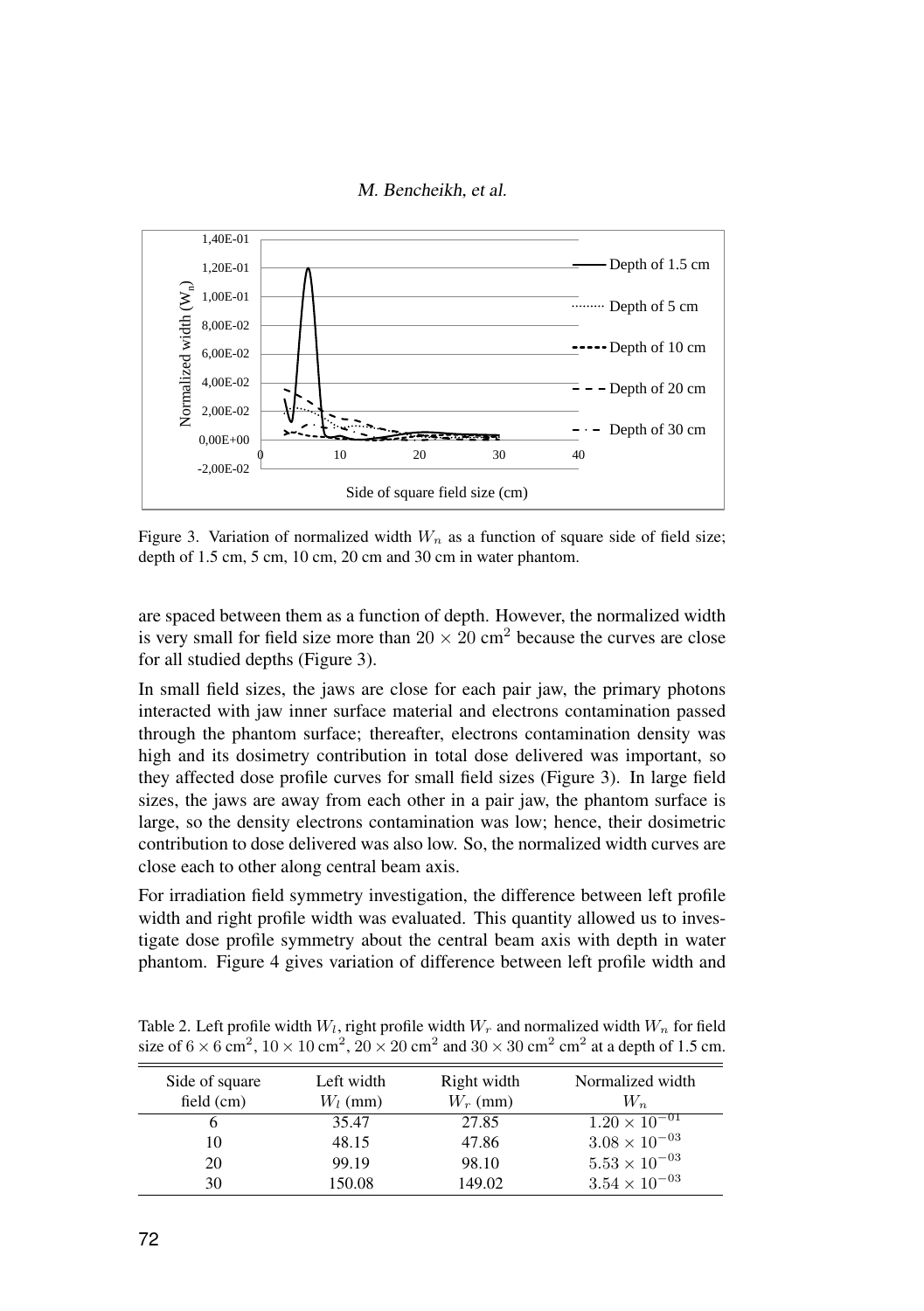



Figure 3. Variation of normalized width  $W_n$  as a function of square side of field size; *depth of 1.5 cm, 5 cm, 10 cm, 20 cm and 30 cm in water phantom.* depth of 1.5 cm, 5 cm, 10 cm, 20 cm and 30 cm in water phantom.

spaced between them as a function of depth. However, the normalized width is very small for  $\alpha$ are spaced between them as a function of depth. However, the normalized width for all studied depths (Figure 3).  $\frac{1}{\sqrt{2}}$  and surface material and electrons contains contained the phase of phase  $\frac{1}{\sqrt{2}}$ is very small for field size more than  $20 \times 20$  cm<sup>2</sup> because the curves are close

In small field sizes, the jaws are close for each pair jaw, the primary photons interacted with jaw inner surface material and electrons contamination passed through the phantom surface; thereafter, electrons contamination density was surface is larger in the density was low; the density electrons contamination was low; was low; here  $\frac{1}{2}$ high and its dosimetry contribution in total dose delivered was important, so they affected dose profile curves for small field sizes (Figure 3). In large field for javo are any from each offer in a pair javo, the prairies formed to large, so the density electrons contamination was low; hence, their dosimetric contribution to dose delivered was also low. So, the normalized width curves are close each to other along central beam axis. sizes, the jaws are away from each other in a pair jaw, the phantom surface is

For irradiation field symmetry investigation, the difference between left profile width and right profile width was evaluated. This quantity allowed us to investigate dose profile symmetry about the central beam axis with depth in water phantom. Figure 4 gives variation of difference between left profile width and

|                                |                          |                           | size of $6 \times 6$ cm <sup>2</sup> , $10 \times 10$ cm <sup>2</sup> , $20 \times 20$ cm <sup>2</sup> and $30 \times 30$ cm <sup>2</sup> cm <sup>2</sup> at a depth of 1.5 cm. |
|--------------------------------|--------------------------|---------------------------|---------------------------------------------------------------------------------------------------------------------------------------------------------------------------------|
| Side of square<br>field $(cm)$ | Left width<br>$W_l$ (mm) | Right width<br>$W_r$ (mm) | Normalized width<br>$W_n$                                                                                                                                                       |
|                                | 35.47                    | 27.85                     | $1.20 \times 10^{-01}$                                                                                                                                                          |
| 10                             | 48.15                    | 47.86                     | $3.08 \times 10^{-03}$                                                                                                                                                          |

20 99.19 98.10  $5.53 \times 10^{-03}$ 30 150.08 149.02  $3.54 \times 10^{-03}$ 

98.10

Table 2. Left profile width  $W_l$ , right profile width  $W_r$  and normalized width  $W_n$  for field size of  $6 \times 6$  cm<sup>2</sup> ,  $10 \times 10$  cm<sup>2</sup> ,  $20 \times 20$  cm<sup>2</sup> and  $30 \times 30$  cm<sup>2</sup>  $\text{cm}^2$ at a depth of 1.5 cm.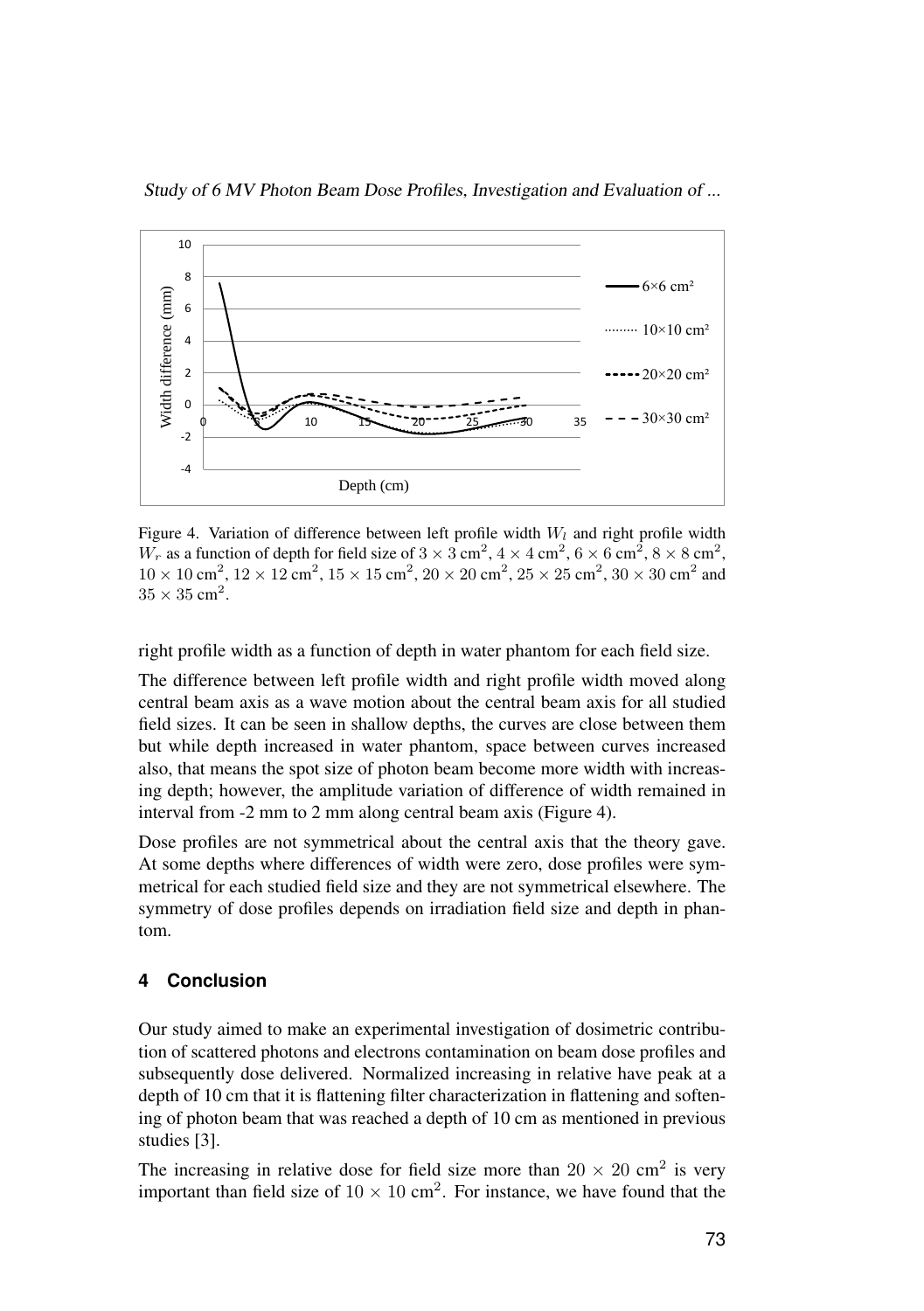



Figure 4. Variation of difference between left profile width  $W_l$  and right profile width  $W_r$  as a function of depth for field size of  $3 \times 3$  cm<sup>2</sup>,  $4 \times 4$  cm<sup>2</sup>,  $6 \times 6$  cm<sup>2</sup>,  $8 \times 8$  cm<sup>2</sup>,  $10 \times 10 \text{ cm}^2$ ,  $12 \times 12 \text{ cm}^2$ ,  $15 \times 15 \text{ cm}^2$ ,  $20 \times 20 \text{ cm}^2$ ,  $25 \times 25 \text{ cm}^2$ ,  $30 \times 30 \text{ cm}^2$  and 35×35×35 cm<sup>2</sup> and  $5 \text{ cm}^2$ .  $35 \times 35$  cm<sup>2</sup>.

right profile width as a function of depth in water phantom for each field size.

 $\mathbf{r}_{\text{L}}$  at  $\mathbf{r}_{\text{C}}$  with increasing depth; however, the amplitude variation of difference of difference of difference of difference of difference of difference of difference of difference of difference of diffe The difference between left profile width and right profile width moved along field sizes. It can be seen in shallow depths, the curves are close between them but while depth increased in water phantom, space between curves increased but while depth increased in water phallonit, space between eurves increased also, that means the spot size of photon beam become more width with increasinterval from -2 mm to 2 mm along central beam axis (Figure 4). central beam axis as a wave motion about the central beam axis for all studied ing depth; however, the amplitude variation of difference of width remained in

Dose profiles are not symmetrical about the central axis that the theory gave. At some depths where differences of width were zero, dose profiles were symmetrical for each studied field size and they are not symmetrical elsewhere. The fiction for each statica field size and they are not symmetrical eisewhere. The symmetry of dose profiles depends on irradiation field size and depth in phan- $\mathbf{t}$  increasing in relative dose for field size more than  $20\times 20$ tom.

#### $10<sub>10</sub>$  cm for  $25<sub>10</sub>$  cm $25<sub>25</sub>$  cm $25<sub>25</sub>$ field size of 10×10 cm $\epsilon$  of 10×10 cm $\epsilon$  is very low for all filed increasing in relative dose is very low for all filed in relative dose is very low for all filed in relative dose is very low for all filed in relative d **4 Conclusion**

Our study simed to make an experimental investigation of desimatric contril Our study aimed to make an experimental investigation of dosimetric contribution of scattered photons and electrons contamination on beam dose profiles and subsequently dose delivered. Normalized increasing in relative have peak at a depth of 10 cm that it is flattening filter characterization in flattening and softening of photon beam that was reached a depth of 10 cm as mentioned in previous studies [3].

The increasing in relative dose for field size more than  $20 \times 20$  cm<sup>2</sup> is very important than field size of  $10 \times 10$  cm<sup>2</sup>. For instance, we have found that the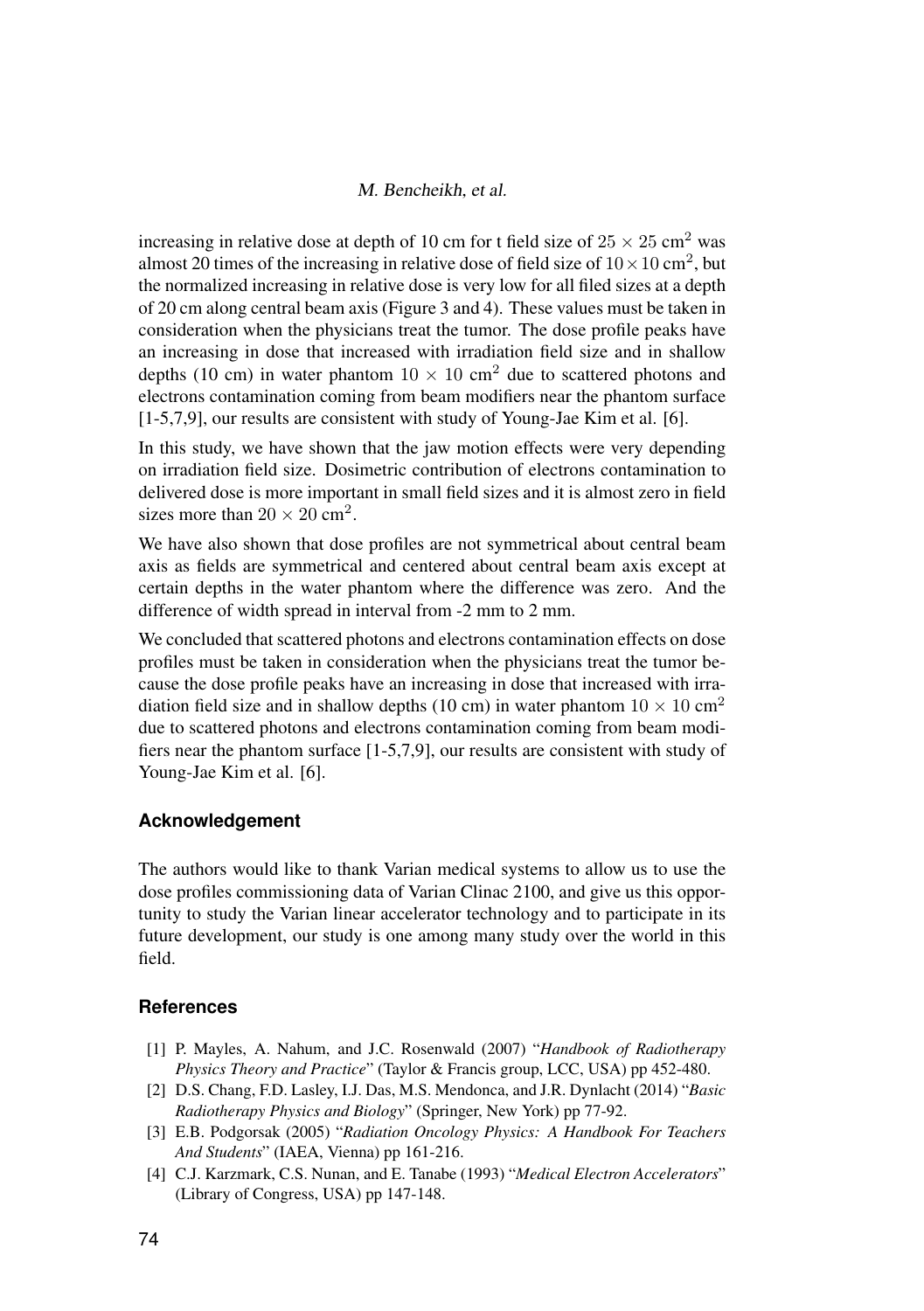#### M. Bencheikh, et al.

increasing in relative dose at depth of 10 cm for t field size of  $25 \times 25$  cm<sup>2</sup> was almost 20 times of the increasing in relative dose of field size of  $10 \times 10 \text{ cm}^2$ , but the normalized increasing in relative dose is very low for all filed sizes at a depth of 20 cm along central beam axis (Figure 3 and 4). These values must be taken in consideration when the physicians treat the tumor. The dose profile peaks have an increasing in dose that increased with irradiation field size and in shallow depths (10 cm) in water phantom  $10 \times 10$  cm<sup>2</sup> due to scattered photons and electrons contamination coming from beam modifiers near the phantom surface [1-5,7,9], our results are consistent with study of Young-Jae Kim et al. [6].

In this study, we have shown that the jaw motion effects were very depending on irradiation field size. Dosimetric contribution of electrons contamination to delivered dose is more important in small field sizes and it is almost zero in field sizes more than  $20 \times 20$  cm<sup>2</sup>.

We have also shown that dose profiles are not symmetrical about central beam axis as fields are symmetrical and centered about central beam axis except at certain depths in the water phantom where the difference was zero. And the difference of width spread in interval from -2 mm to 2 mm.

We concluded that scattered photons and electrons contamination effects on dose profiles must be taken in consideration when the physicians treat the tumor because the dose profile peaks have an increasing in dose that increased with irradiation field size and in shallow depths (10 cm) in water phantom  $10 \times 10 \text{ cm}^2$ due to scattered photons and electrons contamination coming from beam modifiers near the phantom surface [1-5,7,9], our results are consistent with study of Young-Jae Kim et al. [6].

#### **Acknowledgement**

The authors would like to thank Varian medical systems to allow us to use the dose profiles commissioning data of Varian Clinac 2100, and give us this opportunity to study the Varian linear accelerator technology and to participate in its future development, our study is one among many study over the world in this field.

#### <span id="page-7-0"></span>**References**

- [1] P. Mayles, A. Nahum, and J.C. Rosenwald (2007) "*Handbook of Radiotherapy Physics Theory and Practice*" (Taylor & Francis group, LCC, USA) pp 452-480.
- [2] D.S. Chang, F.D. Lasley, I.J. Das, M.S. Mendonca, and J.R. Dynlacht (2014) "*Basic Radiotherapy Physics and Biology*" (Springer, New York) pp 77-92.
- [3] E.B. Podgorsak (2005) "*Radiation Oncology Physics: A Handbook For Teachers And Students*" (IAEA, Vienna) pp 161-216.
- [4] C.J. Karzmark, C.S. Nunan, and E. Tanabe (1993) "*Medical Electron Accelerators*" (Library of Congress, USA) pp 147-148.